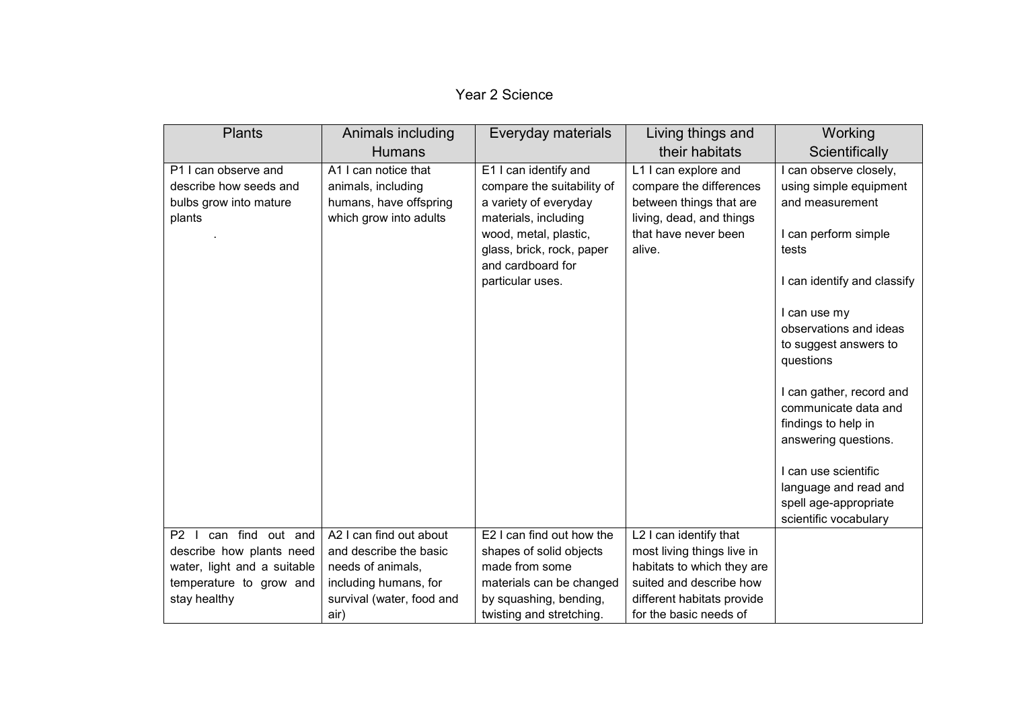| <b>Plants</b>                      | Animals including         | Everyday materials                            | Living things and                                | Working                                       |
|------------------------------------|---------------------------|-----------------------------------------------|--------------------------------------------------|-----------------------------------------------|
|                                    | <b>Humans</b>             |                                               | their habitats                                   | Scientifically                                |
| P1 I can observe and               | A1 I can notice that      | E1 I can identify and                         | L1 I can explore and                             | I can observe closely,                        |
| describe how seeds and             | animals, including        | compare the suitability of                    | compare the differences                          | using simple equipment                        |
| bulbs grow into mature             | humans, have offspring    | a variety of everyday                         | between things that are                          | and measurement                               |
| plants                             | which grow into adults    | materials, including<br>wood, metal, plastic, | living, dead, and things<br>that have never been | I can perform simple                          |
|                                    |                           | glass, brick, rock, paper                     | alive.                                           | tests                                         |
|                                    |                           | and cardboard for                             |                                                  |                                               |
|                                    |                           | particular uses.                              |                                                  | I can identify and classify                   |
|                                    |                           |                                               |                                                  |                                               |
|                                    |                           |                                               |                                                  | I can use my                                  |
|                                    |                           |                                               |                                                  | observations and ideas                        |
|                                    |                           |                                               |                                                  | to suggest answers to<br>questions            |
|                                    |                           |                                               |                                                  |                                               |
|                                    |                           |                                               |                                                  | I can gather, record and                      |
|                                    |                           |                                               |                                                  | communicate data and                          |
|                                    |                           |                                               |                                                  | findings to help in                           |
|                                    |                           |                                               |                                                  | answering questions.                          |
|                                    |                           |                                               |                                                  |                                               |
|                                    |                           |                                               |                                                  | I can use scientific<br>language and read and |
|                                    |                           |                                               |                                                  | spell age-appropriate                         |
|                                    |                           |                                               |                                                  | scientific vocabulary                         |
| can find out and<br>P <sub>2</sub> | A2 I can find out about   | E2 I can find out how the                     | L2 I can identify that                           |                                               |
| describe how plants need           | and describe the basic    | shapes of solid objects                       | most living things live in                       |                                               |
| water, light and a suitable        | needs of animals,         | made from some                                | habitats to which they are                       |                                               |
| temperature to grow and            | including humans, for     | materials can be changed                      | suited and describe how                          |                                               |
| stay healthy                       | survival (water, food and | by squashing, bending,                        | different habitats provide                       |                                               |
|                                    | air)                      | twisting and stretching.                      | for the basic needs of                           |                                               |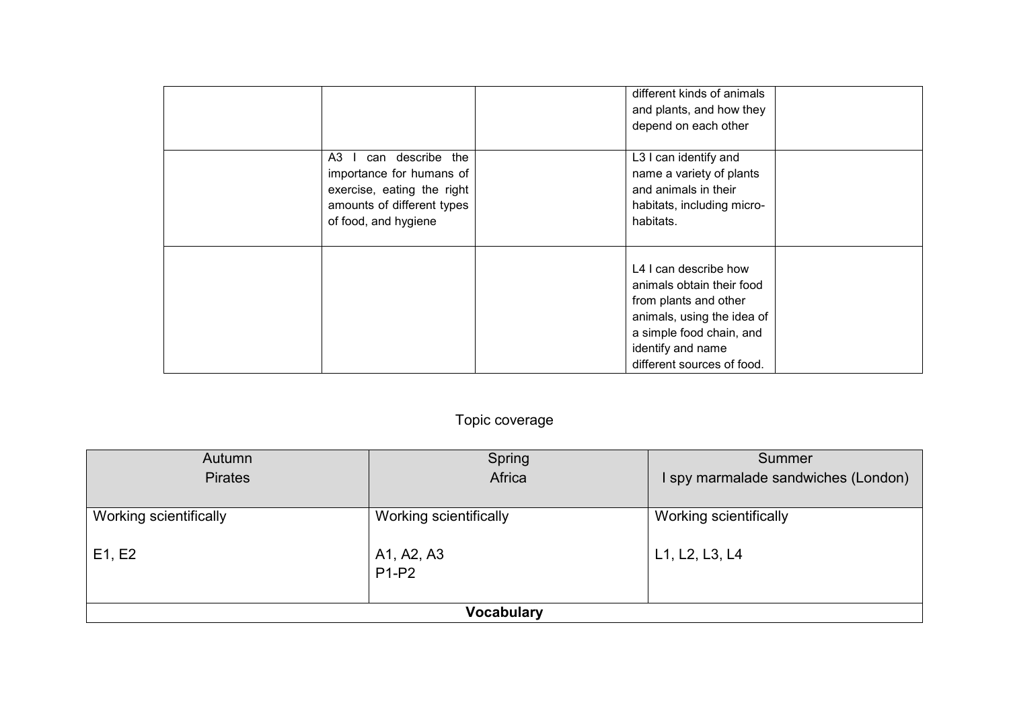| can describe the<br>A3<br>$\mathbf{L}$<br>importance for humans of<br>exercise, eating the right<br>amounts of different types<br>of food, and hygiene | different kinds of animals<br>and plants, and how they<br>depend on each other<br>L3 I can identify and<br>name a variety of plants<br>and animals in their<br>habitats, including micro-<br>habitats. |  |
|--------------------------------------------------------------------------------------------------------------------------------------------------------|--------------------------------------------------------------------------------------------------------------------------------------------------------------------------------------------------------|--|
|                                                                                                                                                        | L4 I can describe how<br>animals obtain their food<br>from plants and other<br>animals, using the idea of<br>a simple food chain, and<br>identify and name<br>different sources of food.               |  |

## Topic coverage

| Autumn                 | Spring                 | Summer                              |  |
|------------------------|------------------------|-------------------------------------|--|
| <b>Pirates</b>         | Africa                 | I spy marmalade sandwiches (London) |  |
|                        |                        |                                     |  |
| Working scientifically | Working scientifically | Working scientifically              |  |
|                        |                        |                                     |  |
| E1, E2                 | A1, A2, A3             | L1, L2, L3, L4                      |  |
|                        | $P1-P2$                |                                     |  |
|                        |                        |                                     |  |
| <b>Vocabulary</b>      |                        |                                     |  |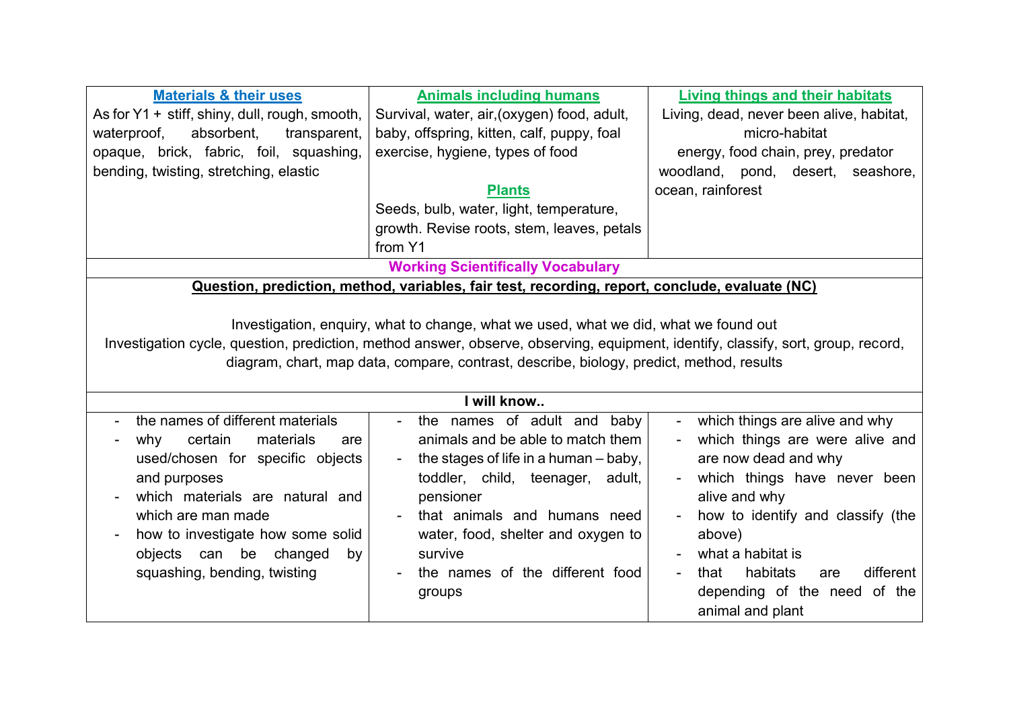| <b>Materials &amp; their uses</b>                                                                                                                                                                                                                                                                                     | <b>Animals including humans</b>                                                                                                                                                                                                                                                          | <b>Living things and their habitats</b>                                                                                                                                                                                                                                                                    |  |
|-----------------------------------------------------------------------------------------------------------------------------------------------------------------------------------------------------------------------------------------------------------------------------------------------------------------------|------------------------------------------------------------------------------------------------------------------------------------------------------------------------------------------------------------------------------------------------------------------------------------------|------------------------------------------------------------------------------------------------------------------------------------------------------------------------------------------------------------------------------------------------------------------------------------------------------------|--|
| As for $Y1 +$ stiff, shiny, dull, rough, smooth,                                                                                                                                                                                                                                                                      | Survival, water, air, (oxygen) food, adult,                                                                                                                                                                                                                                              | Living, dead, never been alive, habitat,                                                                                                                                                                                                                                                                   |  |
| waterproof,<br>absorbent,<br>transparent,                                                                                                                                                                                                                                                                             | baby, offspring, kitten, calf, puppy, foal                                                                                                                                                                                                                                               | micro-habitat                                                                                                                                                                                                                                                                                              |  |
| opaque, brick, fabric, foil, squashing,                                                                                                                                                                                                                                                                               | exercise, hygiene, types of food                                                                                                                                                                                                                                                         | energy, food chain, prey, predator                                                                                                                                                                                                                                                                         |  |
| bending, twisting, stretching, elastic                                                                                                                                                                                                                                                                                |                                                                                                                                                                                                                                                                                          | woodland, pond, desert,<br>seashore,                                                                                                                                                                                                                                                                       |  |
|                                                                                                                                                                                                                                                                                                                       | <b>Plants</b>                                                                                                                                                                                                                                                                            | ocean, rainforest                                                                                                                                                                                                                                                                                          |  |
|                                                                                                                                                                                                                                                                                                                       | Seeds, bulb, water, light, temperature,                                                                                                                                                                                                                                                  |                                                                                                                                                                                                                                                                                                            |  |
|                                                                                                                                                                                                                                                                                                                       | growth. Revise roots, stem, leaves, petals                                                                                                                                                                                                                                               |                                                                                                                                                                                                                                                                                                            |  |
|                                                                                                                                                                                                                                                                                                                       | from Y1                                                                                                                                                                                                                                                                                  |                                                                                                                                                                                                                                                                                                            |  |
|                                                                                                                                                                                                                                                                                                                       | <b>Working Scientifically Vocabulary</b>                                                                                                                                                                                                                                                 |                                                                                                                                                                                                                                                                                                            |  |
|                                                                                                                                                                                                                                                                                                                       | Question, prediction, method, variables, fair test, recording, report, conclude, evaluate (NC)                                                                                                                                                                                           |                                                                                                                                                                                                                                                                                                            |  |
| Investigation, enquiry, what to change, what we used, what we did, what we found out<br>Investigation cycle, question, prediction, method answer, observe, observing, equipment, identify, classify, sort, group, record,<br>diagram, chart, map data, compare, contrast, describe, biology, predict, method, results |                                                                                                                                                                                                                                                                                          |                                                                                                                                                                                                                                                                                                            |  |
|                                                                                                                                                                                                                                                                                                                       | I will know                                                                                                                                                                                                                                                                              |                                                                                                                                                                                                                                                                                                            |  |
| the names of different materials<br>certain<br>materials<br>why<br>are<br>used/chosen for specific objects<br>and purposes<br>which materials are natural and<br>which are man made<br>how to investigate how some solid<br>objects can be<br>changed<br>by<br>squashing, bending, twisting                           | the names of adult and baby<br>animals and be able to match them<br>the stages of life in a human – baby,<br>toddler, child, teenager, adult,<br>pensioner<br>that animals and humans need<br>water, food, shelter and oxygen to<br>survive<br>the names of the different food<br>groups | which things are alive and why<br>which things are were alive and<br>are now dead and why<br>which things have never been<br>alive and why<br>how to identify and classify (the<br>above)<br>what a habitat is<br>different<br>habitats<br>that<br>are<br>depending of the need of the<br>animal and plant |  |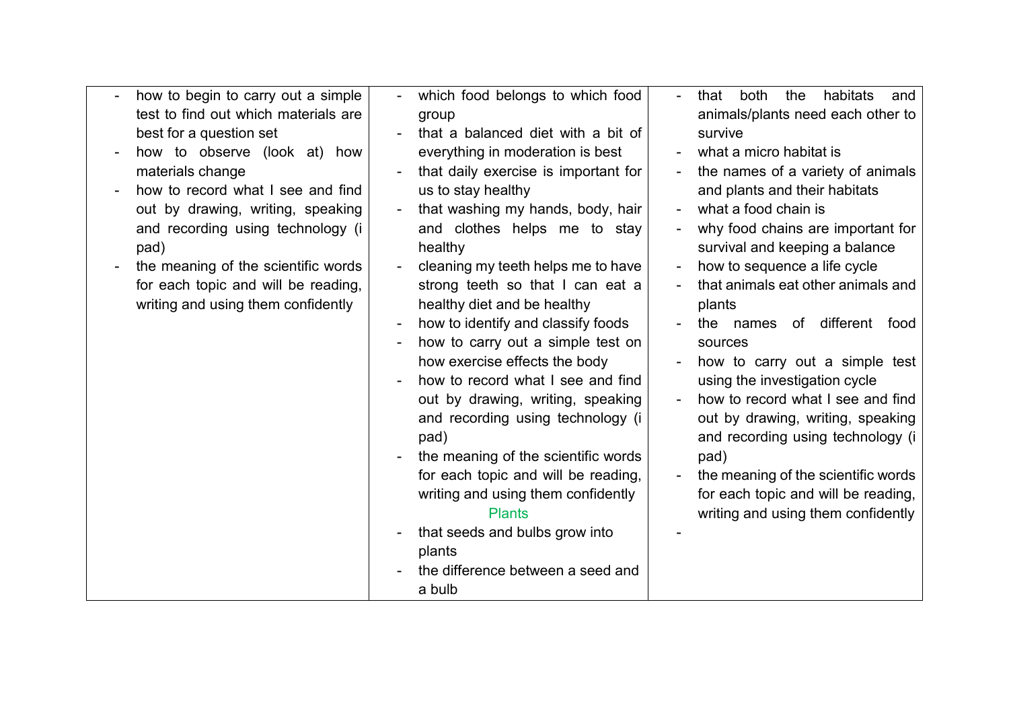| how to begin to carry out a simple   | which food belongs to which food                               | both<br>the<br>habitats<br>that<br>and                   |
|--------------------------------------|----------------------------------------------------------------|----------------------------------------------------------|
| test to find out which materials are | group                                                          | animals/plants need each other to                        |
| best for a question set              | that a balanced diet with a bit of                             | survive                                                  |
| how to observe (look at) how         | everything in moderation is best                               | what a micro habitat is                                  |
| materials change                     | that daily exercise is important for                           | the names of a variety of animals                        |
| how to record what I see and find    | us to stay healthy                                             | and plants and their habitats                            |
| out by drawing, writing, speaking    | that washing my hands, body, hair                              | what a food chain is                                     |
| and recording using technology (i    | and clothes helps me to stay                                   | why food chains are important for                        |
| pad)                                 | healthy                                                        | survival and keeping a balance                           |
| the meaning of the scientific words  | cleaning my teeth helps me to have                             | how to sequence a life cycle<br>$\overline{\phantom{a}}$ |
| for each topic and will be reading,  | strong teeth so that I can eat a                               | that animals eat other animals and                       |
| writing and using them confidently   | healthy diet and be healthy                                    | plants                                                   |
|                                      | how to identify and classify foods<br>$\overline{\phantom{a}}$ | the names of different<br>food                           |
|                                      | how to carry out a simple test on                              | sources                                                  |
|                                      | how exercise effects the body                                  | how to carry out a simple test                           |
|                                      | how to record what I see and find                              | using the investigation cycle                            |
|                                      | out by drawing, writing, speaking                              | how to record what I see and find                        |
|                                      | and recording using technology (i                              | out by drawing, writing, speaking                        |
|                                      | pad)                                                           | and recording using technology (i                        |
|                                      | the meaning of the scientific words                            | pad)                                                     |
|                                      | for each topic and will be reading,                            | the meaning of the scientific words<br>$\overline{a}$    |
|                                      | writing and using them confidently                             | for each topic and will be reading,                      |
|                                      | <b>Plants</b>                                                  | writing and using them confidently                       |
|                                      | that seeds and bulbs grow into                                 |                                                          |
|                                      | plants                                                         |                                                          |
|                                      | the difference between a seed and                              |                                                          |
|                                      | a bulb                                                         |                                                          |